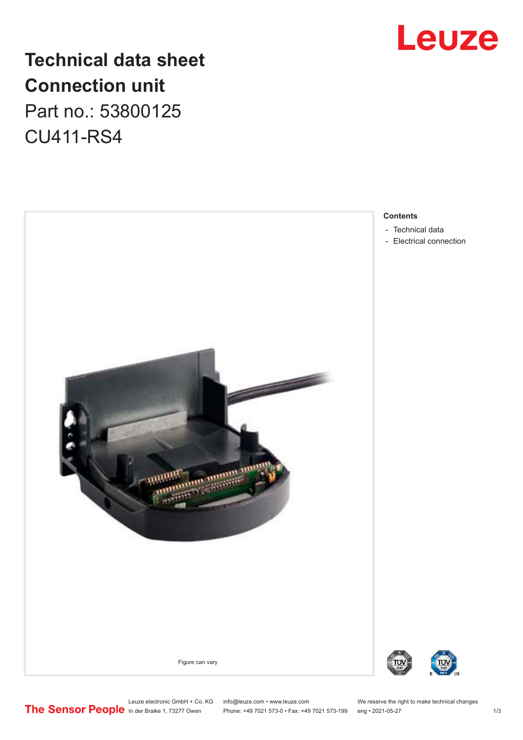

## **Technical data sheet Connection unit** Part no.: 53800125 CU411-RS4



#### **Contents**

- [Technical data](#page-1-0)
- [Electrical connection](#page-1-0)



Leuze electronic GmbH + Co. KG info@leuze.com • www.leuze.com We reserve the right to make technical changes

In der Braike 1, 73277 Owen Phone: +49 7021 573-0 • Fax: +49 7021 573-199 eng • 2021-05-27 1 /3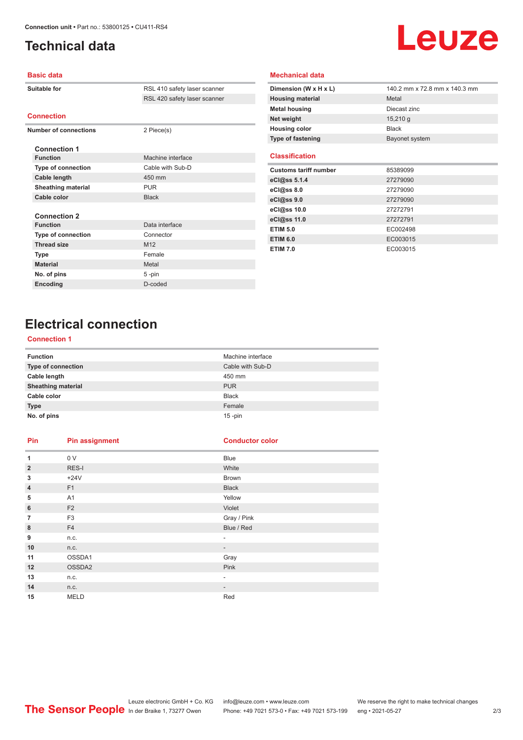## <span id="page-1-0"></span>**Technical data**

# Leuze

#### **Basic data**

|  | Suitable for              | RSL 410 safety laser scanner |
|--|---------------------------|------------------------------|
|  |                           | RSL 420 safety laser scanner |
|  | <b>Connection</b>         |                              |
|  |                           |                              |
|  | Number of connections     | 2 Piece(s)                   |
|  | <b>Connection 1</b>       |                              |
|  | <b>Function</b>           | Machine interface            |
|  | Type of connection        | Cable with Sub-D             |
|  | Cable length              | 450 mm                       |
|  | <b>Sheathing material</b> | <b>PUR</b>                   |
|  | Cable color               | <b>Black</b>                 |
|  |                           |                              |
|  | <b>Connection 2</b>       |                              |
|  | <b>Function</b>           | Data interface               |
|  | <b>Type of connection</b> | Connector                    |
|  | <b>Thread size</b>        | M <sub>12</sub>              |
|  | <b>Type</b>               | Female                       |
|  | <b>Material</b>           | Metal                        |
|  | No. of pins               | 5-pin                        |
|  | Encoding                  | D-coded                      |
|  |                           |                              |

| Dimension (W x H x L)        | 140.2 mm x 72.8 mm x 140.3 mm |
|------------------------------|-------------------------------|
| <b>Housing material</b>      | Metal                         |
| <b>Metal housing</b>         | Diecast zinc                  |
| Net weight                   | $15,210$ g                    |
| <b>Housing color</b>         | <b>Black</b>                  |
| <b>Type of fastening</b>     | Bayonet system                |
| <b>Classification</b>        |                               |
| <b>Customs tariff number</b> | 85389099                      |
| eCl@ss 5.1.4                 | 27279090                      |
| eCl@ss 8.0                   | 27279090                      |
| eCl@ss 9.0                   | 27279090                      |
| eCl@ss 10.0                  | 27272791                      |
| eCl@ss 11.0                  | 27272791                      |
| <b>ETIM 5.0</b>              | EC002498                      |
| <b>ETIM 6.0</b>              | EC003015                      |
| <b>ETIM 7.0</b>              | EC003015                      |

**Mechanical data**

## **Electrical connection**

#### **Connection 1**

| <b>Function</b>           | Machine interface |
|---------------------------|-------------------|
| <b>Type of connection</b> | Cable with Sub-D  |
| Cable length              | 450 mm            |
| <b>Sheathing material</b> | <b>PUR</b>        |
| Cable color               | <b>Black</b>      |
| <b>Type</b>               | Female            |
| No. of pins               | $15 - pin$        |

### **Pin Pin assignment Conductor Conductor Color**

| 1              | 0 V            | Blue                     |
|----------------|----------------|--------------------------|
| $\overline{2}$ | RES-I          | White                    |
| 3              | $+24V$         | Brown                    |
| $\overline{4}$ | F1             | <b>Black</b>             |
| 5              | A <sub>1</sub> | Yellow                   |
| 6              | F <sub>2</sub> | Violet                   |
| $\overline{7}$ | F <sub>3</sub> | Gray / Pink              |
| 8              | F4             | Blue / Red               |
| 9              | n.c.           | ٠                        |
| 10             | n.c.           | $\overline{\phantom{a}}$ |
| 11             | OSSDA1         | Gray                     |
| 12             | OSSDA2         | Pink                     |
| 13             | n.c.           | ۰.                       |
| 14             | n.c.           | $\overline{\phantom{a}}$ |
| 15             | <b>MELD</b>    | Red                      |